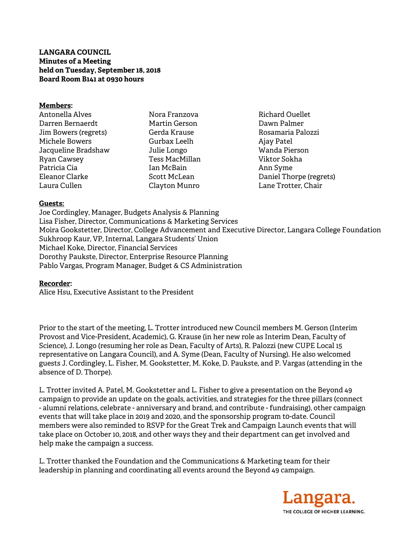## **LANGARA COUNCIL Minutes of a Meeting held on Tuesday, September 18, 2018 Board Room B141 at 0930 hours**

#### **Members:**

| Antonella Alves      | Nora F  |
|----------------------|---------|
| Darren Bernaerdt     | Martir  |
| Jim Bowers (regrets) | Gerda   |
| Michele Bowers       | Gurba   |
| Jacqueline Bradshaw  | Julie L |
| <b>Ryan Cawsey</b>   | Tess M  |
| Patricia Cia         | Ian Mo  |
| Eleanor Clarke       | Scott I |
| Laura Cullen         | Clayto  |

- Franzova n Gerson Krause x Leelh ongo IacMillan cBain McLean n Munro
- Richard Ouellet Dawn Palmer Rosamaria Palozzi Ajay Patel Wanda Pierson Viktor Sokha Ann Syme Daniel Thorpe (regrets) Lane Trotter, Chair

### **Guests:**

Joe Cordingley, Manager, Budgets Analysis & Planning Lisa Fisher, Director, Communications & Marketing Services Moira Gookstetter, Director, College Advancement and Executive Director, Langara College Foundation Sukhroop Kaur, VP, Internal, Langara Students' Union Michael Koke, Director, Financial Services Dorothy Paukste, Director, Enterprise Resource Planning Pablo Vargas, Program Manager, Budget & CS Administration

#### **Recorder:**

Alice Hsu, Executive Assistant to the President

Prior to the start of the meeting, L. Trotter introduced new Council members M. Gerson (Interim Provost and Vice-President, Academic), G. Krause (in her new role as Interim Dean, Faculty of Science), J. Longo (resuming her role as Dean, Faculty of Arts), R. Palozzi (new CUPE Local 15 representative on Langara Council), and A. Syme (Dean, Faculty of Nursing). He also welcomed guests J. Cordingley, L. Fisher, M. Gookstetter, M. Koke, D. Paukste, and P. Vargas (attending in the absence of D. Thorpe).

L. Trotter invited A. Patel, M. Gookstetter and L. Fisher to give a presentation on the Beyond 49 campaign to provide an update on the goals, activities, and strategies for the three pillars (connect - alumni relations, celebrate - anniversary and brand, and contribute - fundraising), other campaign events that will take place in 2019 and 2020, and the sponsorship program t0-date. Council members were also reminded to RSVP for the Great Trek and Campaign Launch events that will take place on October 10, 2018, and other ways they and their department can get involved and help make the campaign a success.

L. Trotter thanked the Foundation and the Communications & Marketing team for their leadership in planning and coordinating all events around the Beyond 49 campaign.

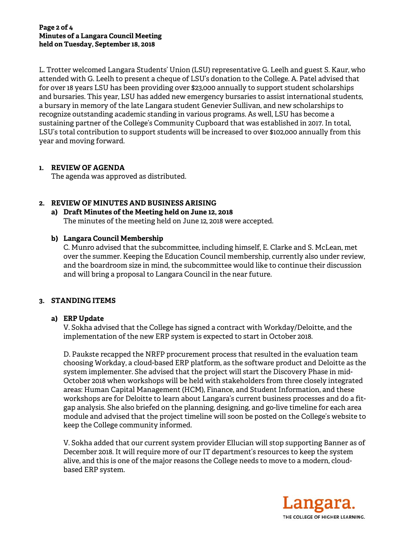L. Trotter welcomed Langara Students' Union (LSU) representative G. Leelh and guest S. Kaur, who attended with G. Leelh to present a cheque of LSU's donation to the College. A. Patel advised that for over 18 years LSU has been providing over \$23,000 annually to support student scholarships and bursaries. This year, LSU has added new emergency bursaries to assist international students, a bursary in memory of the late Langara student Genevier Sullivan, and new scholarships to recognize outstanding academic standing in various programs. As well, LSU has become a sustaining partner of the College's Community Cupboard that was established in 2017. In total, LSU's total contribution to support students will be increased to over \$102,000 annually from this year and moving forward.

# **1. REVIEW OF AGENDA**

The agenda was approved as distributed.

# **2. REVIEW OF MINUTES AND BUSINESS ARISING**

#### **a) Draft Minutes of the Meeting held on June 12, 2018**  The minutes of the meeting held on June 12, 2018 were accepted.

# **b) Langara Council Membership**

C. Munro advised that the subcommittee, including himself, E. Clarke and S. McLean, met over the summer. Keeping the Education Council membership, currently also under review, and the boardroom size in mind, the subcommittee would like to continue their discussion and will bring a proposal to Langara Council in the near future.

## **3. STANDING ITEMS**

## **a) ERP Update**

V. Sokha advised that the College has signed a contract with Workday/Deloitte, and the implementation of the new ERP system is expected to start in October 2018.

D. Paukste recapped the NRFP procurement process that resulted in the evaluation team choosing Workday, a cloud-based ERP platform, as the software product and Deloitte as the system implementer. She advised that the project will start the Discovery Phase in mid-October 2018 when workshops will be held with stakeholders from three closely integrated areas: Human Capital Management (HCM), Finance, and Student Information, and these workshops are for Deloitte to learn about Langara's current business processes and do a fitgap analysis. She also briefed on the planning, designing, and go-live timeline for each area module and advised that the project timeline will soon be posted on the College's website to keep the College community informed.

V. Sokha added that our current system provider Ellucian will stop supporting Banner as of December 2018. It will require more of our IT department's resources to keep the system alive, and this is one of the major reasons the College needs to move to a modern, cloudbased ERP system.

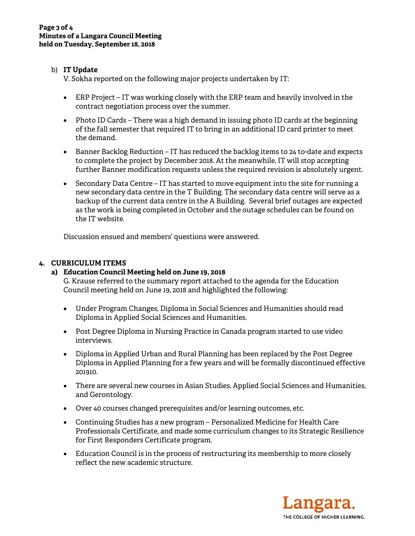# b) **IT Update**

V. Sokha reported on the following major projects undertaken by IT:

- ERP Project IT was working closely with the ERP team and heavily involved in the contract negotiation process over the summer.
- Photo ID Cards There was a high demand in issuing photo ID cards at the beginning of the fall semester that required IT to bring in an additional ID card printer to meet the demand.
- Banner Backlog Reduction IT has reduced the backlog items to 24 to-date and expects to complete the project by December 2018. At the meanwhile, IT will stop accepting further Banner modification requests unless the required revision is absolutely urgent.
- Secondary Data Centre IT has started to move equipment into the site for running a new secondary data centre in the T Building. The secondary data centre will serve as a backup of the current data centre in the A Building. Several brief outages are expected as the work is being completed in October and the outage schedules can be found on the IT website.

Discussion ensued and members' questions were answered.

# **4. CURRICULUM ITEMS**

# **a) Education Council Meeting held on June 19, 2018**

G. Krause referred to the summary report attached to the agenda for the Education Council meeting held on June 19, 2018 and highlighted the following:

- Under Program Changes, Diploma in Social Sciences and Humanities should read Diploma in Applied Social Sciences and Humanities.
- Post Degree Diploma in Nursing Practice in Canada program started to use video interviews.
- Diploma in Applied Urban and Rural Planning has been replaced by the Post Degree Diploma in Applied Planning for a few years and will be formally discontinued effective 201910.
- There are several new courses in Asian Studies, Applied Social Sciences and Humanities, and Gerontology.
- Over 40 courses changed prerequisites and/or learning outcomes, etc.
- Continuing Studies has a new program Personalized Medicine for Health Care Professionals Certificate, and made some curriculum changes to its Strategic Resilience for First Responders Certificate program.
- Education Council is in the process of restructuring its membership to more closely reflect the new academic structure.